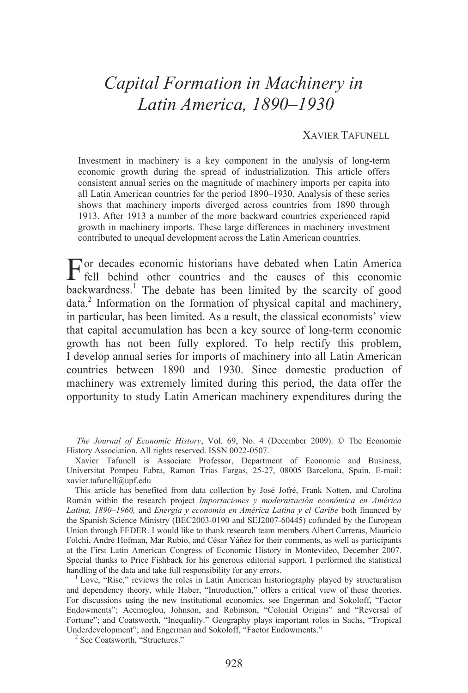# *Capital Formation in Machinery in Latin America, 1890–1930*

## XAVIER TAFUNELL

Investment in machinery is a key component in the analysis of long-term economic growth during the spread of industrialization. This article offers consistent annual series on the magnitude of machinery imports per capita into all Latin American countries for the period 1890–1930. Analysis of these series shows that machinery imports diverged across countries from 1890 through 1913. After 1913 a number of the more backward countries experienced rapid growth in machinery imports. These large differences in machinery investment contributed to unequal development across the Latin American countries.

For decades economic historians have debated when Latin America fell behind other countries and the causes of this economic fell behind other countries and the causes of this economic backwardness.<sup>1</sup> The debate has been limited by the scarcity of good data.<sup>2</sup> Information on the formation of physical capital and machinery, in particular, has been limited. As a result, the classical economists' view that capital accumulation has been a key source of long-term economic growth has not been fully explored. To help rectify this problem, I develop annual series for imports of machinery into all Latin American countries between 1890 and 1930. Since domestic production of machinery was extremely limited during this period, the data offer the opportunity to study Latin American machinery expenditures during the

*The Journal of Economic History*, Vol. 69, No. 4 (December 2009). © The Economic History Association. All rights reserved. ISSN 0022-0507.

Xavier Tafunell is Associate Professor, Department of Economic and Business, Universitat Pompeu Fabra, Ramon Trias Fargas, 25-27, 08005 Barcelona, Spain. E-mail: xavier.tafunell@upf.edu

This article has benefited from data collection by José Jofré, Frank Notten, and Carolina Román within the research project *Importaciones y modernización económica en América Latina, 1890–1960,* and *Energía y economía en América Latina y el Caribe* both financed by the Spanish Science Ministry (BEC2003-0190 and SEJ2007-60445) cofunded by the European Union through FEDER. I would like to thank research team members Albert Carreras, Mauricio Folchi, André Hofman, Mar Rubio, and César Yáñez for their comments, as well as participants at the First Latin American Congress of Economic History in Montevideo, December 2007. Special thanks to Price Fishback for his generous editorial support. I performed the statistical handling of the data and take full responsibility for any errors.

Love, "Rise," reviews the roles in Latin American historiography played by structuralism and dependency theory, while Haber, "Introduction," offers a critical view of these theories. For discussions using the new institutional economics, see Engerman and Sokoloff, "Factor Endowments"; Acemoglou, Johnson, and Robinson, "Colonial Origins" and "Reversal of Fortune"; and Coatsworth, "Inequality." Geography plays important roles in Sachs, "Tropical Underdevelopment"; and Engerman and Sokoloff, "Factor Endowments." 2

 $2$  See Coatsworth, "Structures."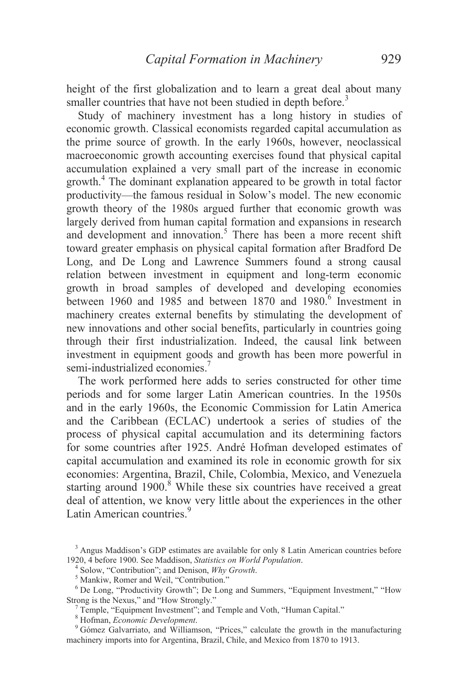height of the first globalization and to learn a great deal about many smaller countries that have not been studied in depth before.<sup>3</sup>

Study of machinery investment has a long history in studies of economic growth. Classical economists regarded capital accumulation as the prime source of growth. In the early 1960s, however, neoclassical macroeconomic growth accounting exercises found that physical capital accumulation explained a very small part of the increase in economic growth.<sup>4</sup> The dominant explanation appeared to be growth in total factor productivity—the famous residual in Solow's model. The new economic growth theory of the 1980s argued further that economic growth was largely derived from human capital formation and expansions in research and development and innovation.<sup>5</sup> There has been a more recent shift toward greater emphasis on physical capital formation after Bradford De Long, and De Long and Lawrence Summers found a strong causal relation between investment in equipment and long-term economic growth in broad samples of developed and developing economies between 1960 and 1985 and between 1870 and 1980.<sup>6</sup> Investment in machinery creates external benefits by stimulating the development of new innovations and other social benefits, particularly in countries going through their first industrialization. Indeed, the causal link between investment in equipment goods and growth has been more powerful in semi-industrialized economies.<sup>7</sup>

 The work performed here adds to series constructed for other time periods and for some larger Latin American countries. In the 1950s and in the early 1960s, the Economic Commission for Latin America and the Caribbean (ECLAC) undertook a series of studies of the process of physical capital accumulation and its determining factors for some countries after 1925. André Hofman developed estimates of capital accumulation and examined its role in economic growth for six economies: Argentina, Brazil, Chile, Colombia, Mexico, and Venezuela starting around  $1900$ .<sup>8</sup> While these six countries have received a great deal of attention, we know very little about the experiences in the other Latin American countries<sup>9</sup>

<sup>&</sup>lt;sup>3</sup> Angus Maddison's GDP estimates are available for only 8 Latin American countries before 1920, 4 before 1900. See Maddison, *Statistics on World Population*. <sup>4</sup>

Solow, "Contribution"; and Denison, *Why Growth*.

<sup>&</sup>lt;sup>5</sup> Mankiw, Romer and Weil, "Contribution."

<sup>&</sup>lt;sup>6</sup> De Long, "Productivity Growth"; De Long and Summers, "Equipment Investment," "How Strong is the Nexus," and "How Strongly."

<sup>&</sup>lt;sup>7</sup> Temple, "Equipment Investment"; and Temple and Voth, "Human Capital."

<sup>&</sup>lt;sup>8</sup> Hofman, *Economic Development*.

<sup>&</sup>lt;sup>9</sup> Gómez Galvarriato, and Williamson, "Prices," calculate the growth in the manufacturing machinery imports into for Argentina, Brazil, Chile, and Mexico from 1870 to 1913.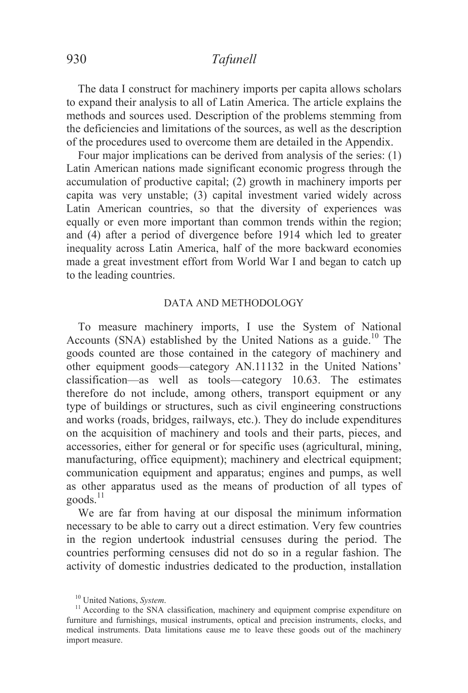The data I construct for machinery imports per capita allows scholars to expand their analysis to all of Latin America. The article explains the methods and sources used. Description of the problems stemming from the deficiencies and limitations of the sources, as well as the description of the procedures used to overcome them are detailed in the Appendix.

Four major implications can be derived from analysis of the series: (1) Latin American nations made significant economic progress through the accumulation of productive capital; (2) growth in machinery imports per capita was very unstable; (3) capital investment varied widely across Latin American countries, so that the diversity of experiences was equally or even more important than common trends within the region; and (4) after a period of divergence before 1914 which led to greater inequality across Latin America, half of the more backward economies made a great investment effort from World War I and began to catch up to the leading countries.

### DATA AND METHODOLOGY

 To measure machinery imports, I use the System of National Accounts (SNA) established by the United Nations as a guide.<sup>10</sup> The goods counted are those contained in the category of machinery and other equipment goods—category AN.11132 in the United Nations' classification—as well as tools—category 10.63. The estimates therefore do not include, among others, transport equipment or any type of buildings or structures, such as civil engineering constructions and works (roads, bridges, railways, etc.). They do include expenditures on the acquisition of machinery and tools and their parts, pieces, and accessories, either for general or for specific uses (agricultural, mining, manufacturing, office equipment); machinery and electrical equipment; communication equipment and apparatus; engines and pumps, as well as other apparatus used as the means of production of all types of  $\text{goods}$ <sup>11</sup>

 We are far from having at our disposal the minimum information necessary to be able to carry out a direct estimation. Very few countries in the region undertook industrial censuses during the period. The countries performing censuses did not do so in a regular fashion. The activity of domestic industries dedicated to the production, installation

<sup>&</sup>lt;sup>10</sup> United Nations, *System*.<br><sup>11</sup> According to the SNA classification, machinery and equipment comprise expenditure on furniture and furnishings, musical instruments, optical and precision instruments, clocks, and medical instruments. Data limitations cause me to leave these goods out of the machinery import measure.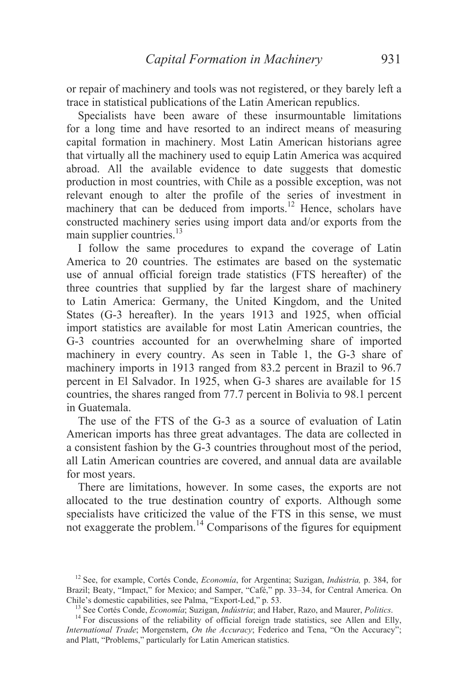or repair of machinery and tools was not registered, or they barely left a trace in statistical publications of the Latin American republics.

Specialists have been aware of these insurmountable limitations for a long time and have resorted to an indirect means of measuring capital formation in machinery. Most Latin American historians agree that virtually all the machinery used to equip Latin America was acquired abroad. All the available evidence to date suggests that domestic production in most countries, with Chile as a possible exception, was not relevant enough to alter the profile of the series of investment in machinery that can be deduced from imports.<sup>12</sup> Hence, scholars have constructed machinery series using import data and/or exports from the main supplier countries.<sup>13</sup>

 I follow the same procedures to expand the coverage of Latin America to 20 countries. The estimates are based on the systematic use of annual official foreign trade statistics (FTS hereafter) of the three countries that supplied by far the largest share of machinery to Latin America: Germany, the United Kingdom, and the United States (G-3 hereafter). In the years 1913 and 1925, when official import statistics are available for most Latin American countries, the G-3 countries accounted for an overwhelming share of imported machinery in every country. As seen in Table 1, the G-3 share of machinery imports in 1913 ranged from 83.2 percent in Brazil to 96.7 percent in El Salvador. In 1925, when G-3 shares are available for 15 countries, the shares ranged from 77.7 percent in Bolivia to 98.1 percent in Guatemala.

 The use of the FTS of the G-3 as a source of evaluation of Latin American imports has three great advantages. The data are collected in a consistent fashion by the G-3 countries throughout most of the period, all Latin American countries are covered, and annual data are available for most years.

 There are limitations, however. In some cases, the exports are not allocated to the true destination country of exports. Although some specialists have criticized the value of the FTS in this sense, we must not exaggerate the problem. $14$  Comparisons of the figures for equipment

<sup>12</sup> See, for example, Cortés Conde, *Economía*, for Argentina; Suzigan, *Indústria,* p. 384, for Brazil; Beaty, "Impact," for Mexico; and Samper, "Café," pp. 33–34, for Central America. On Chile's domestic capabilities, see Palma, "Export-Led," p. 53.

<sup>&</sup>lt;sup>13</sup> See Cortés Conde, *Economía*; Suzigan, *Indústria*; and Haber, Razo, and Maurer, *Politics*.<br><sup>14</sup> For discussions of the reliability of official foreign trade statistics, see Allen and Elly,

*International Trade*; Morgenstern, *On the Accuracy*; Federico and Tena, "On the Accuracy"; and Platt, "Problems," particularly for Latin American statistics.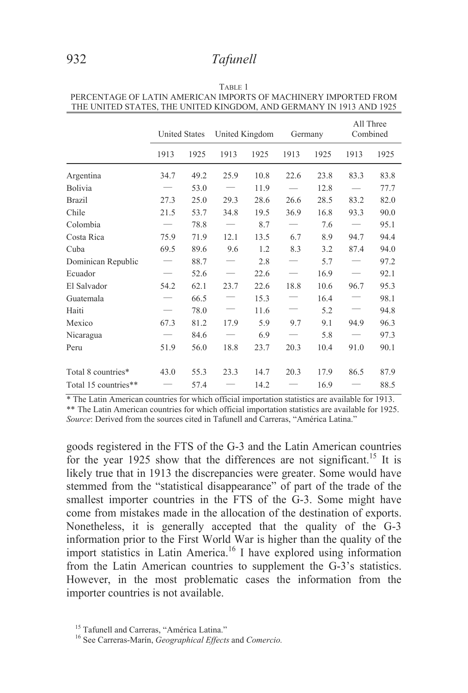|                      | <b>United States</b> |      | United Kingdom |      | Germany |      | All Three<br>Combined |      |
|----------------------|----------------------|------|----------------|------|---------|------|-----------------------|------|
|                      | 1913                 | 1925 | 1913           | 1925 | 1913    | 1925 | 1913                  | 1925 |
| Argentina            | 34.7                 | 49.2 | 25.9           | 10.8 | 22.6    | 23.8 | 83.3                  | 83.8 |
| Bolivia              |                      | 53.0 |                | 11.9 |         | 12.8 |                       | 77.7 |
| <b>Brazil</b>        | 27.3                 | 25.0 | 29.3           | 28.6 | 26.6    | 28.5 | 83.2                  | 82.0 |
| Chile                | 21.5                 | 53.7 | 34.8           | 19.5 | 36.9    | 16.8 | 93.3                  | 90.0 |
| Colombia             |                      | 78.8 |                | 8.7  |         | 7.6  |                       | 95.1 |
| Costa Rica           | 75.9                 | 71.9 | 12.1           | 13.5 | 6.7     | 8.9  | 94.7                  | 94.4 |
| Cuba                 | 69.5                 | 89.6 | 9.6            | 1.2  | 8.3     | 3.2  | 87.4                  | 94.0 |
| Dominican Republic   |                      | 88.7 |                | 2.8  |         | 5.7  |                       | 97.2 |
| Ecuador              |                      | 52.6 |                | 22.6 |         | 16.9 |                       | 92.1 |
| El Salvador          | 54.2                 | 62.1 | 23.7           | 22.6 | 18.8    | 10.6 | 96.7                  | 95.3 |
| Guatemala            |                      | 66.5 |                | 15.3 |         | 16.4 |                       | 98.1 |
| Haiti                |                      | 78.0 |                | 11.6 |         | 5.2  |                       | 94.8 |
| Mexico               | 67.3                 | 81.2 | 17.9           | 5.9  | 9.7     | 9.1  | 94.9                  | 96.3 |
| Nicaragua            |                      | 84.6 |                | 6.9  |         | 5.8  |                       | 97.3 |
| Peru                 | 51.9                 | 56.0 | 18.8           | 23.7 | 20.3    | 10.4 | 91.0                  | 90.1 |
| Total 8 countries*   | 43.0                 | 55.3 | 23.3           | 14.7 | 20.3    | 17.9 | 86.5                  | 87.9 |
| Total 15 countries** |                      | 57.4 |                | 14.2 |         | 16.9 |                       | 88.5 |

TABLE 1 PERCENTAGE OF LATIN AMERICAN IMPORTS OF MACHINERY IMPORTED FROM THE UNITED STATES, THE UNITED KINGDOM, AND GERMANY IN 1913 AND 1925

\* The Latin American countries for which official importation statistics are available for 1913. \*\* The Latin American countries for which official importation statistics are available for 1925. *Source*: Derived from the sources cited in Tafunell and Carreras, "América Latina."

goods registered in the FTS of the G-3 and the Latin American countries for the year 1925 show that the differences are not significant.<sup>15</sup> It is likely true that in 1913 the discrepancies were greater. Some would have stemmed from the "statistical disappearance" of part of the trade of the smallest importer countries in the FTS of the G-3. Some might have come from mistakes made in the allocation of the destination of exports. Nonetheless, it is generally accepted that the quality of the G-3 information prior to the First World War is higher than the quality of the import statistics in Latin America.<sup>16</sup> I have explored using information from the Latin American countries to supplement the G-3's statistics. However, in the most problematic cases the information from the importer countries is not available.

<sup>&</sup>lt;sup>15</sup> Tafunell and Carreras, "América Latina."

<sup>16</sup> See Carreras-Marín, *Geographical Effects* and *Comercio.*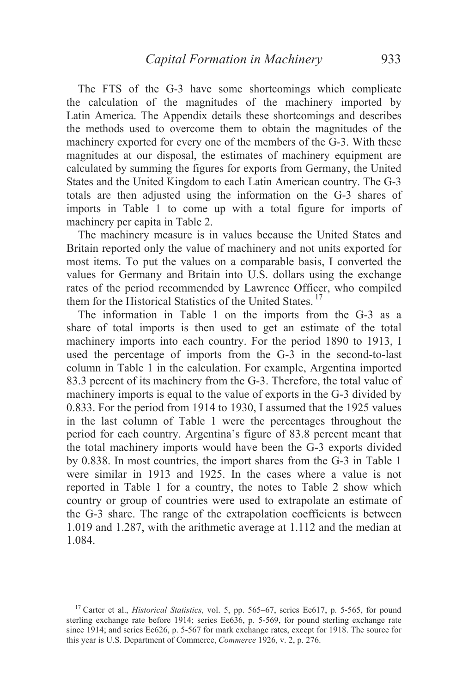The FTS of the G-3 have some shortcomings which complicate the calculation of the magnitudes of the machinery imported by Latin America. The Appendix details these shortcomings and describes the methods used to overcome them to obtain the magnitudes of the machinery exported for every one of the members of the G-3. With these magnitudes at our disposal, the estimates of machinery equipment are calculated by summing the figures for exports from Germany, the United States and the United Kingdom to each Latin American country. The G-3 totals are then adjusted using the information on the G-3 shares of imports in Table 1 to come up with a total figure for imports of machinery per capita in Table 2.

 The machinery measure is in values because the United States and Britain reported only the value of machinery and not units exported for most items. To put the values on a comparable basis, I converted the values for Germany and Britain into U.S. dollars using the exchange rates of the period recommended by Lawrence Officer, who compiled them for the Historical Statistics of the United States.<sup>17</sup>

 The information in Table 1 on the imports from the G-3 as a share of total imports is then used to get an estimate of the total machinery imports into each country. For the period 1890 to 1913, I used the percentage of imports from the G-3 in the second-to-last column in Table 1 in the calculation. For example, Argentina imported 83.3 percent of its machinery from the G-3. Therefore, the total value of machinery imports is equal to the value of exports in the G-3 divided by 0.833. For the period from 1914 to 1930, I assumed that the 1925 values in the last column of Table 1 were the percentages throughout the period for each country. Argentina's figure of 83.8 percent meant that the total machinery imports would have been the G-3 exports divided by 0.838. In most countries, the import shares from the G-3 in Table 1 were similar in 1913 and 1925. In the cases where a value is not reported in Table 1 for a country, the notes to Table 2 show which country or group of countries were used to extrapolate an estimate of the G-3 share. The range of the extrapolation coefficients is between 1.019 and 1.287, with the arithmetic average at 1.112 and the median at 1.084.

<sup>&</sup>lt;sup>17</sup> Carter et al., *Historical Statistics*, vol. 5, pp. 565–67, series Ee617, p. 5-565, for pound sterling exchange rate before 1914; series Ee636, p. 5-569, for pound sterling exchange rate since 1914; and series Ee626, p. 5-567 for mark exchange rates, except for 1918. The source for this year is U.S. Department of Commerce, *Commerce* 1926, v. 2, p. 276.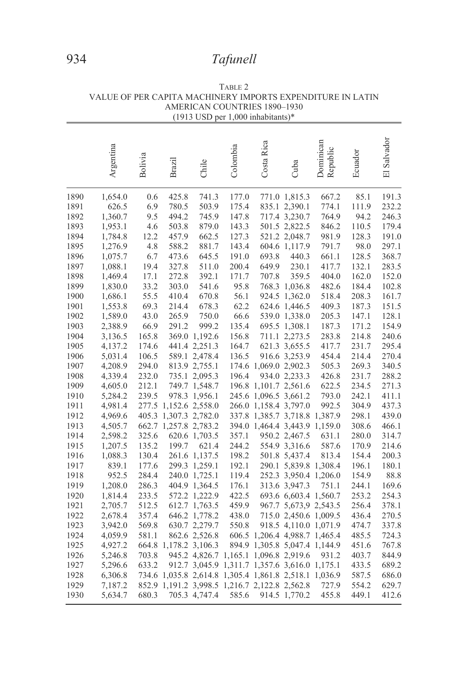|      |           |         |                       |                       | $(1713 \cup 3D \cup 1,000 \text{ minad}$              |                         |                               |                       |         |                                     |
|------|-----------|---------|-----------------------|-----------------------|-------------------------------------------------------|-------------------------|-------------------------------|-----------------------|---------|-------------------------------------|
|      | Argentina | Bolivia | <b>Brazil</b>         | Chile                 | Colombia                                              | Costa Rica              | Cuba                          | Dominican<br>Republic | Ecuador | Salvador<br>$\overline{\mathbb{E}}$ |
| 1890 | 1,654.0   | 0.6     | 425.8                 | 741.3                 | 177.0                                                 |                         | 771.0 1,815.3                 | 667.2                 | 85.1    | 191.3                               |
| 1891 | 626.5     | 6.9     | 780.5                 | 503.9                 | 175.4                                                 |                         | 835.1 2,390.1                 | 774.1                 | 111.9   | 232.2                               |
| 1892 | 1,360.7   | 9.5     | 494.2                 | 745.9                 | 147.8                                                 |                         | 717.4 3,230.7                 | 764.9                 | 94.2    | 246.3                               |
| 1893 | 1,953.1   | 4.6     | 503.8                 | 879.0                 | 143.3                                                 |                         | 501.5 2,822.5                 | 846.2                 | 110.5   | 179.4                               |
| 1894 | 1,784.8   | 12.2    | 457.9                 | 662.5                 | 127.3                                                 |                         | 521.2 2,048.7                 | 981.9                 | 128.3   | 191.0                               |
| 1895 | 1,276.9   | 4.8     | 588.2                 | 881.7                 | 143.4                                                 |                         | 604.6 1,117.9                 | 791.7                 | 98.0    | 297.1                               |
| 1896 | 1,075.7   | 6.7     | 473.6                 | 645.5                 | 191.0                                                 | 693.8                   | 440.3                         | 661.1                 | 128.5   | 368.7                               |
| 1897 | 1,088.1   | 19.4    | 327.8                 | 511.0                 | 200.4                                                 | 649.9                   | 230.1                         | 417.7                 | 132.1   | 283.5                               |
| 1898 | 1,469.4   | 17.1    | 272.8                 | 392.1                 | 171.7                                                 | 707.8                   | 359.5                         | 404.0                 | 162.0   | 152.0                               |
| 1899 | 1,830.0   | 33.2    | 303.0                 | 541.6                 | 95.8                                                  |                         | 768.3 1,036.8                 | 482.6                 | 184.4   | 102.8                               |
| 1900 | 1,686.1   | 55.5    | 410.4                 | 670.8                 | 56.1                                                  |                         | 924.5 1,362.0                 | 518.4                 | 208.3   | 161.7                               |
| 1901 | 1,553.8   | 69.3    | 214.4                 | 678.3                 | 62.2                                                  |                         | 624.6 1,446.5                 | 409.3                 | 187.3   | 151.5                               |
| 1902 | 1,589.0   | 43.0    | 265.9                 | 750.0                 | 66.6                                                  |                         | 539.0 1,338.0                 | 205.3                 | 147.1   | 128.1                               |
| 1903 | 2,388.9   | 66.9    | 291.2                 | 999.2                 | 135.4                                                 |                         | 695.5 1,308.1                 | 187.3                 | 171.2   | 154.9                               |
| 1904 | 3,136.5   | 165.8   |                       | 369.0 1,192.6         | 156.8                                                 |                         | 711.1 2,273.5                 | 283.8                 | 214.8   | 240.6                               |
| 1905 | 4,137.2   | 174.6   |                       | 441.4 2,251.3         | 164.7                                                 |                         | 621.3 3, 655.5                | 417.7                 | 231.7   | 295.4                               |
| 1906 | 5,031.4   | 106.5   |                       | 589.1 2,478.4         | 136.5                                                 |                         | 916.6 3,253.9                 | 454.4                 | 214.4   | 270.4                               |
| 1907 | 4,208.9   | 294.0   |                       | 813.9 2,755.1         |                                                       | 174.6 1,069.0 2,902.3   |                               | 505.3                 | 269.3   | 340.5                               |
| 1908 | 4,339.4   | 232.0   |                       | 735.1 2,095.3         | 196.4                                                 |                         | 934.0 2,233.3                 | 426.8                 | 231.7   | 288.2                               |
| 1909 | 4,605.0   | 212.1   |                       | 749.7 1,548.7         |                                                       | 196.8 1,101.7 2,561.6   |                               | 622.5                 | 234.5   | 271.3                               |
| 1910 | 5,284.2   | 239.5   |                       | 978.3 1,956.1         |                                                       | 245.6 1,096.5 3,661.2   |                               | 793.0                 | 242.1   | 411.1                               |
| 1911 | 4,981.4   |         |                       | 277.5 1,152.6 2,558.0 |                                                       | 266.0 1,158.4 3,797.0   |                               | 992.5                 | 304.9   | 437.3                               |
| 1912 | 4,969.6   |         |                       | 405.3 1,307.3 2,782.0 |                                                       |                         | 337.8 1,385.7 3,718.8 1,387.9 |                       | 298.1   | 439.0                               |
| 1913 | 4,505.7   |         | 662.7 1,257.8 2,783.2 |                       |                                                       |                         | 394.0 1,464.4 3,443.9 1,159.0 |                       | 308.6   | 466.1                               |
| 1914 | 2,598.2   | 325.6   |                       | 620.6 1,703.5         | 357.1                                                 |                         | 950.2 2,467.5                 | 631.1                 | 280.0   | 314.7                               |
| 1915 | 1,207.5   | 135.2   | 199.7                 | 621.4                 | 244.2                                                 |                         | 554.9 3,316.6                 | 587.6                 | 170.9   | 214.6                               |
| 1916 | 1,088.3   | 130.4   |                       | 261.6 1,137.5         | 198.2                                                 |                         | 501.8 5,437.4                 | 813.4                 | 154.4   | 200.3                               |
| 1917 | 839.1     | 177.6   |                       | 299.3 1,259.1         | 192.1                                                 |                         | 290.1 5,839.8 1,308.4         |                       | 196.1   | 180.1                               |
| 1918 | 952.5     | 284.4   |                       | 240.0 1,725.1         | 119.4                                                 |                         | 252.3 3,950.4 1,206.0         |                       | 154.9   | 88.8                                |
| 1919 | 1,208.0   | 286.3   |                       | 404.9 1,364.5         | 176.1                                                 |                         | 313.6 3,947.3                 | 751.1                 | 244.1   | 169.6                               |
| 1920 | 1,814.4   | 233.5   |                       | 572.2 1,222.9         | 422.5                                                 |                         | 693.6 6,603.4 1,560.7         |                       | 253.2   | 254.3                               |
| 1921 | 2,705.7   | 512.5   |                       | 612.7 1,763.5         | 459.9                                                 |                         | 967.7 5,673,9 2,543.5         |                       | 256.4   | 378.1                               |
| 1922 | 2,678.4   | 357.4   |                       | 646.2 1,778.2         | 438.0                                                 |                         | 715.0 2,450.6 1,009.5         |                       | 436.4   | 270.5                               |
| 1923 | 3,942.0   | 569.8   |                       | 630.7 2,279.7         | 550.8                                                 |                         | 918.5 4,110.0 1,071.9         |                       | 474.7   | 337.8                               |
| 1924 | 4,059.9   | 581.1   |                       | 862.6 2,526.8         |                                                       |                         | 606.5 1,206.4 4,988.7 1,465.4 |                       | 485.5   | 724.3                               |
| 1925 | 4,927.2   |         | 664.8 1,178.2 3,106.3 |                       |                                                       |                         | 894.9 1,305.8 5,047.4 1,144.9 |                       | 451.6   | 767.8                               |
| 1926 | 5,246.8   | 703.8   |                       | 945.2 4,826.7         |                                                       | 1,165.1 1,096.8 2,919.6 |                               | 931.2                 | 403.7   | 844.9                               |
| 1927 | 5,296.6   | 633.2   |                       |                       | 912.7 3,045.9 1,311.7 1,357.6 3,616.0 1,175.1         |                         |                               |                       | 433.5   | 689.2                               |
| 1928 | 6,306.8   |         |                       |                       | 734.6 1,035.8 2,614.8 1,305.4 1,861.8 2,518.1 1,036.9 |                         |                               |                       | 587.5   | 686.0                               |
| 1929 | 7,187.2   |         |                       |                       | 852.9 1, 191.2 3, 998.5 1, 216.7 2, 122.8 2, 562.8    |                         |                               | 727.9                 | 554.2   | 629.7                               |
| 1930 | 5,634.7   | 680.3   |                       | 705.3 4,747.4         | 585.6                                                 |                         | 914.5 1,770.2                 | 455.8                 | 449.1   | 412.6                               |

TABLE 2 VALUE OF PER CAPITA MACHINERY IMPORTS EXPENDITURE IN LATIN AMERICAN COUNTRIES 1890–1930  $(1913$  USD per 1,000 inhabitants)\*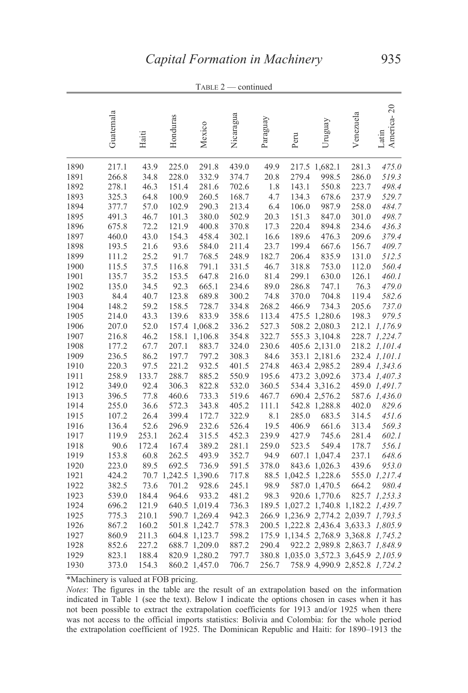|              | Guatemala      | Haiti         | Honduras             | Mexico         | Nicaragua      | Paraguay      | Peru                 | Uruguay                        | Venezuela                                 | America-20<br>Latin |
|--------------|----------------|---------------|----------------------|----------------|----------------|---------------|----------------------|--------------------------------|-------------------------------------------|---------------------|
| 1890         | 217.1          | 43.9          | 225.0                | 291.8          | 439.0          | 49.9          |                      | 217.5 1,682.1                  | 281.3                                     | 475.0               |
| 1891         | 266.8          | 34.8          | 228.0                | 332.9          | 374.7          | 20.8          | 279.4                | 998.5                          | 286.0                                     | 519.3               |
| 1892         | 278.1          | 46.3          | 151.4                | 281.6          | 702.6          | 1.8           | 143.1                | 550.8                          | 223.7                                     | 498.4               |
| 1893         | 325.3          | 64.8          | 100.9                | 260.5          | 168.7          | 4.7           | 134.3                | 678.6                          | 237.9                                     | 529.7               |
| 1894         | 377.7          | 57.0          | 102.9                | 290.3          | 213.4          | 6.4           | 106.0                | 987.9                          | 258.0                                     | 484.7               |
| 1895         | 491.3          | 46.7          | 101.3                | 380.0          | 502.9          | 20.3          | 151.3                | 847.0                          | 301.0                                     | 498.7               |
| 1896         | 675.8          | 72.2          | 121.9                | 400.8          | 370.8          | 17.3          | 220.4                | 894.8                          | 234.6                                     | 436.3               |
| 1897         | 460.0          | 43.0          | 154.3                | 458.4          | 302.1          | 16.6          | 189.6                | 476.3                          | 209.6                                     | 379.4               |
| 1898         | 193.5          | 21.6<br>25.2  | 93.6                 | 584.0<br>768.5 | 211.4<br>248.9 | 23.7<br>182.7 | 199.4                | 667.6                          | 156.7                                     | 409.7               |
| 1899<br>1900 | 111.2<br>115.5 | 37.5          | 91.7<br>116.8        | 791.1          | 331.5          | 46.7          | 206.4<br>318.8       | 835.9<br>753.0                 | 131.0<br>112.0                            | 512.5<br>560.4      |
| 1901         | 135.7          | 35.2          | 153.5                | 647.8          | 216.0          | 81.4          | 299.1                | 630.0                          | 126.1                                     | 460.1               |
| 1902         | 135.0          | 34.5          | 92.3                 | 665.1          | 234.6          | 89.0          | 286.8                | 747.1                          | 76.3                                      | 479.0               |
| 1903         | 84.4           | 40.7          | 123.8                | 689.8          | 300.2          | 74.8          | 370.0                | 704.8                          | 119.4                                     | 582.6               |
| 1904         | 148.2          | 59.2          | 158.5                | 728.7          | 334.8          | 268.2         | 466.9                | 734.3                          | 205.6                                     | 737.0               |
| 1905         | 214.0          | 43.3          | 139.6                | 833.9          | 358.6          | 113.4         |                      | 475.5 1,280.6                  | 198.3                                     | 979.5               |
| 1906         | 207.0          | 52.0          |                      | 157.4 1,068.2  | 336.2          | 527.3         |                      | 508.2 2,080.3                  |                                           | 212.1 1,176.9       |
| 1907         | 216.8          | 46.2          | 158.1                | 1,106.8        | 354.8          | 322.7         |                      | 555.3 3,104.8                  |                                           | 228.7 1,224.7       |
| 1908         | 177.2          | 67.7          | 207.1                | 883.7          | 324.0          | 230.6         |                      | 405.6 2,131.0                  |                                           | 218.2 1,101.4       |
| 1909         | 236.5          | 86.2          | 197.7                | 797.2          | 308.3          | 84.6          |                      | 353.1 2,181.6                  |                                           | 232.4 1,101.1       |
| 1910         | 220.3          | 97.5          | 221.2                | 932.5          | 401.5          | 274.8         |                      | 463.4 2,985.2                  |                                           | 289.4 1,343.6       |
| 1911         | 258.9          | 133.7         | 288.7                | 885.2          | 550.9          | 195.6         |                      | 473.2 3,092.6                  |                                           | 373.4 1,407.3       |
| 1912         | 349.0          | 92.4          | 306.3                | 822.8          | 532.0          | 360.5         |                      | 534.4 3,316.2                  |                                           | 459.0 1,491.7       |
| 1913         | 396.5          | 77.8          | 460.6                | 733.3          | 519.6          | 467.7         |                      | 690.4 2,576.2                  |                                           | 587.6 1,436.0       |
| 1914         | 255.0          | 36.6          | 572.3                | 343.8          | 405.2          | 111.1         |                      | 542.8 1,288.8                  | 402.0                                     | 829.6               |
| 1915         | 107.2          | 26.4          | 399.4                | 172.7          | 322.9          | 8.1           | 285.0                | 683.5                          | 314.5                                     | 451.6               |
| 1916         | 136.4          | 52.6          | 296.9                | 232.6          | 526.4          | 19.5          | 406.9                | 661.6                          | 313.4                                     | 569.3               |
| 1917         | 119.9          | 253.1         | 262.4                | 315.5          | 452.3          | 239.9         | 427.9                | 745.6                          | 281.4                                     | 602.1               |
| 1918         | 90.6<br>153.8  | 172.4<br>60.8 | 167.4                | 389.2<br>493.9 | 281.1<br>352.7 | 259.0         | 523.5                | 549.4                          | 178.7<br>237.1                            | 556.1<br>648.6      |
| 1919<br>1920 | 223.0          | 89.5          | 262.5<br>692.5       | 736.9          | 591.5          | 94.9<br>378.0 |                      | 607.1 1,047.4<br>843.6 1,026.3 | 439.6                                     | 953.0               |
| 1921         | 424.2          |               | 70.7 1,242.5 1,390.6 |                | 717.8          |               | 88.5 1,042.5 1,228.6 |                                |                                           | 555.0 1,217.4       |
| 1922         | 382.5          | 73.6          | 701.2                | 928.6          | 245.1          | 98.9          |                      | 587.0 1,470.5                  | 664.2                                     | 980.4               |
| 1923         | 539.0          | 184.4         | 964.6                | 933.2          | 481.2          | 98.3          |                      | 920.6 1,770.6                  |                                           | 825.7 1,253.3       |
| 1924         | 696.2          | 121.9         |                      | 640.5 1,019.4  | 736.3          |               |                      |                                | 189.5 1,027.2 1,740.8 1,182.2 1,439.7     |                     |
| 1925         | 775.3          | 210.1         |                      | 590.7 1,269.4  | 942.3          |               |                      |                                | 266.9 1,236.9 2,774.2 2,039.7 1,793.5     |                     |
| 1926         | 867.2          | 160.2         |                      | 501.8 1,242.7  | 578.3          | 200.5         |                      |                                | 1,222.8 2,436.4 3,633.3 1,805.9           |                     |
| 1927         | 860.9          | 211.3         |                      | 604.8 1,123.7  | 598.2          |               |                      |                                | 175.9 1, 134.5 2, 768.9 3, 368.8 1, 745.2 |                     |
| 1928         | 852.6          | 227.2         |                      | 688.7 1,209.0  | 887.2          | 290.4         |                      |                                | 922.2 2,989.8 2,863.7 1,848.9             |                     |
| 1929         | 823.1          | 188.4         |                      | 820.9 1,280.2  | 797.7          |               |                      |                                | 380.8 1,035.0 3,572.3 3,645.9 2,105.9     |                     |
| 1930         | 373.0          | 154.3         |                      | 860.2 1,457.0  | 706.7          | 256.7         |                      |                                | 758.9 4,990.9 2,852.8 1,724.2             |                     |

TABLE 2 — continued

\*Machinery is valued at FOB pricing.

*Notes*: The figures in the table are the result of an extrapolation based on the information indicated in Table 1 (see the text). Below I indicate the options chosen in cases when it has not been possible to extract the extrapolation coefficients for 1913 and/or 1925 when there was not access to the official imports statistics: Bolivia and Colombia: for the whole period the extrapolation coefficient of 1925. The Dominican Republic and Haiti: for 1890–1913 the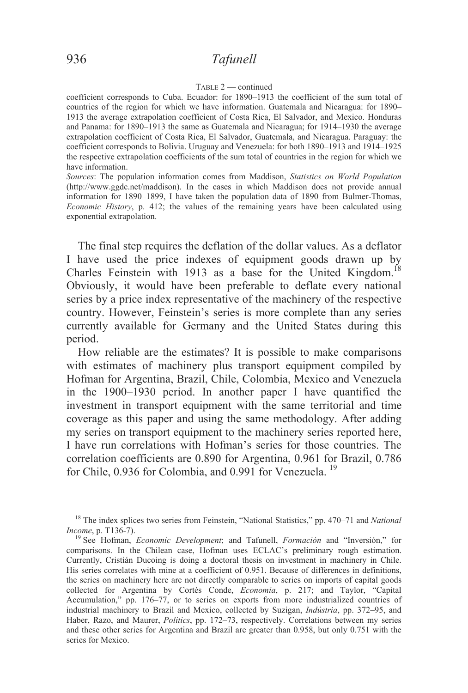#### TABLE 2 — continued

coefficient corresponds to Cuba. Ecuador: for 1890–1913 the coefficient of the sum total of countries of the region for which we have information. Guatemala and Nicaragua: for 1890– 1913 the average extrapolation coefficient of Costa Rica, El Salvador, and Mexico. Honduras and Panama: for 1890–1913 the same as Guatemala and Nicaragua; for 1914–1930 the average extrapolation coefficient of Costa Rica, El Salvador, Guatemala, and Nicaragua. Paraguay: the coefficient corresponds to Bolivia. Uruguay and Venezuela: for both 1890–1913 and 1914–1925 the respective extrapolation coefficients of the sum total of countries in the region for which we have information.

*Sources*: The population information comes from Maddison, *Statistics on World Population* (http://www.ggdc.net/maddison). In the cases in which Maddison does not provide annual information for 1890–1899, I have taken the population data of 1890 from Bulmer-Thomas, *Economic History*, p. 412; the values of the remaining years have been calculated using exponential extrapolation.

 The final step requires the deflation of the dollar values. As a deflator I have used the price indexes of equipment goods drawn up by Charles Feinstein with 1913 as a base for the United Kingdom.<sup>18</sup> Obviously, it would have been preferable to deflate every national series by a price index representative of the machinery of the respective country. However, Feinstein's series is more complete than any series currently available for Germany and the United States during this period.

 How reliable are the estimates? It is possible to make comparisons with estimates of machinery plus transport equipment compiled by Hofman for Argentina, Brazil, Chile, Colombia, Mexico and Venezuela in the 1900–1930 period. In another paper I have quantified the investment in transport equipment with the same territorial and time coverage as this paper and using the same methodology. After adding my series on transport equipment to the machinery series reported here, I have run correlations with Hofman's series for those countries. The correlation coefficients are 0.890 for Argentina, 0.961 for Brazil, 0.786 for Chile, 0.936 for Colombia, and 0.991 for Venezuela.<sup>19</sup>

<sup>18</sup> The index splices two series from Feinstein, "National Statistics," pp. 470–71 and *National Income*, p. T136-7).<br><sup>19</sup> See Hofman, *Economic Development*; and Tafunell, *Formación* and "Inversión," for

comparisons. In the Chilean case, Hofman uses ECLAC's preliminary rough estimation. Currently, Cristián Ducoing is doing a doctoral thesis on investment in machinery in Chile. His series correlates with mine at a coefficient of 0.951. Because of differences in definitions, the series on machinery here are not directly comparable to series on imports of capital goods collected for Argentina by Cortés Conde, *Economía*, p. 217; and Taylor, "Capital Accumulation," pp. 176–77, or to series on exports from more industrialized countries of industrial machinery to Brazil and Mexico, collected by Suzigan, *Indústria*, pp. 372–95, and Haber, Razo, and Maurer, *Politics*, pp. 172–73, respectively. Correlations between my series and these other series for Argentina and Brazil are greater than 0.958, but only 0.751 with the series for Mexico.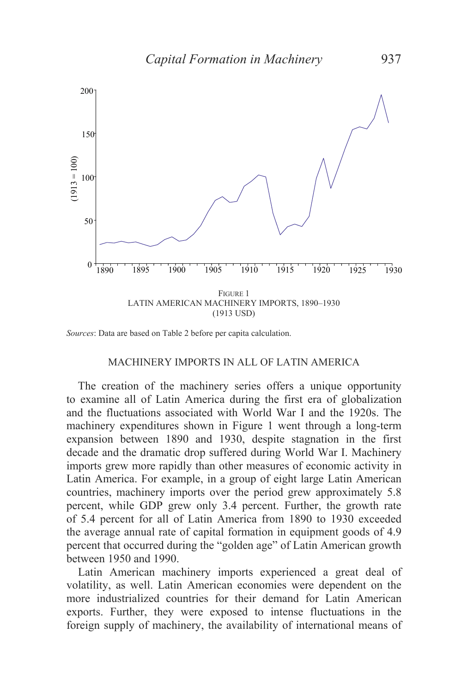

*Sources*: Data are based on Table 2 before per capita calculation.

## MACHINERY IMPORTS IN ALL OF LATIN AMERICA

 The creation of the machinery series offers a unique opportunity to examine all of Latin America during the first era of globalization and the fluctuations associated with World War I and the 1920s. The machinery expenditures shown in Figure 1 went through a long-term expansion between 1890 and 1930, despite stagnation in the first decade and the dramatic drop suffered during World War I. Machinery imports grew more rapidly than other measures of economic activity in Latin America. For example, in a group of eight large Latin American countries, machinery imports over the period grew approximately 5.8 percent, while GDP grew only 3.4 percent. Further, the growth rate of 5.4 percent for all of Latin America from 1890 to 1930 exceeded the average annual rate of capital formation in equipment goods of 4.9 percent that occurred during the "golden age" of Latin American growth between 1950 and 1990.

 Latin American machinery imports experienced a great deal of volatility, as well. Latin American economies were dependent on the more industrialized countries for their demand for Latin American exports. Further, they were exposed to intense fluctuations in the foreign supply of machinery, the availability of international means of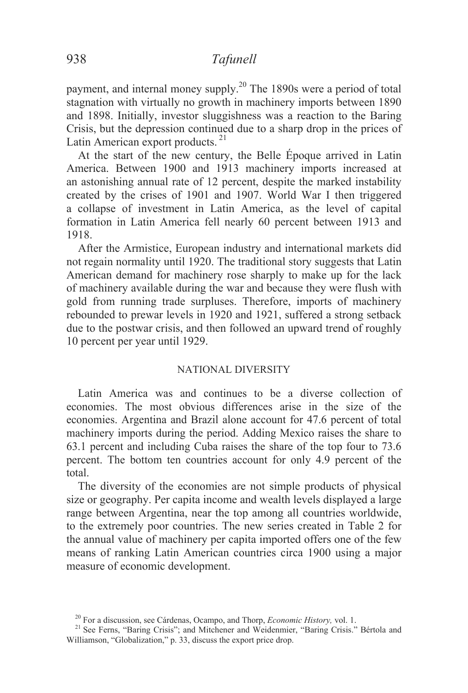payment, and internal money supply.<sup>20</sup> The 1890s were a period of total stagnation with virtually no growth in machinery imports between 1890 and 1898. Initially, investor sluggishness was a reaction to the Baring Crisis, but the depression continued due to a sharp drop in the prices of Latin American export products.<sup>21</sup>

 At the start of the new century, the Belle Époque arrived in Latin America. Between 1900 and 1913 machinery imports increased at an astonishing annual rate of 12 percent, despite the marked instability created by the crises of 1901 and 1907. World War I then triggered a collapse of investment in Latin America, as the level of capital formation in Latin America fell nearly 60 percent between 1913 and 1918.

 After the Armistice, European industry and international markets did not regain normality until 1920. The traditional story suggests that Latin American demand for machinery rose sharply to make up for the lack of machinery available during the war and because they were flush with gold from running trade surpluses. Therefore, imports of machinery rebounded to prewar levels in 1920 and 1921, suffered a strong setback due to the postwar crisis, and then followed an upward trend of roughly 10 percent per year until 1929.

### NATIONAL DIVERSITY

 Latin America was and continues to be a diverse collection of economies. The most obvious differences arise in the size of the economies. Argentina and Brazil alone account for 47.6 percent of total machinery imports during the period. Adding Mexico raises the share to 63.1 percent and including Cuba raises the share of the top four to 73.6 percent. The bottom ten countries account for only 4.9 percent of the total.

 The diversity of the economies are not simple products of physical size or geography. Per capita income and wealth levels displayed a large range between Argentina, near the top among all countries worldwide, to the extremely poor countries. The new series created in Table 2 for the annual value of machinery per capita imported offers one of the few means of ranking Latin American countries circa 1900 using a major measure of economic development.

<sup>&</sup>lt;sup>20</sup> For a discussion, see Cárdenas, Ocampo, and Thorp, *Economic History*, vol. 1.<br><sup>21</sup> See Ferns, "Baring Crisis"; and Mitchener and Weidenmier, "Baring Crisis." Bértola and Williamson, "Globalization," p. 33, discuss the export price drop.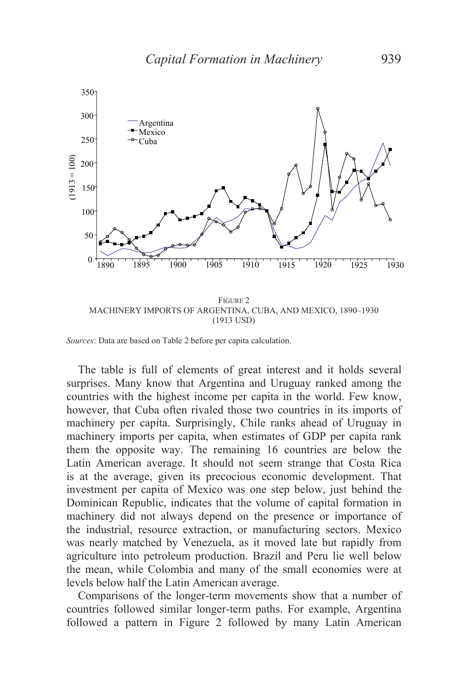

MACHINERY IMPORTS OF ARGENTINA, CUBA, AND MEXICO, 1890–1930 (1913 USD)

 The table is full of elements of great interest and it holds several surprises. Many know that Argentina and Uruguay ranked among the countries with the highest income per capita in the world. Few know, however, that Cuba often rivaled those two countries in its imports of machinery per capita. Surprisingly, Chile ranks ahead of Uruguay in machinery imports per capita, when estimates of GDP per capita rank them the opposite way. The remaining 16 countries are below the Latin American average. It should not seem strange that Costa Rica is at the average, given its precocious economic development. That investment per capita of Mexico was one step below, just behind the Dominican Republic, indicates that the volume of capital formation in machinery did not always depend on the presence or importance of the industrial, resource extraction, or manufacturing sectors. Mexico was nearly matched by Venezuela, as it moved late but rapidly from agriculture into petroleum production. Brazil and Peru lie well below the mean, while Colombia and many of the small economies were at levels below half the Latin American average.

 Comparisons of the longer-term movements show that a number of countries followed similar longer-term paths. For example, Argentina followed a pattern in Figure 2 followed by many Latin American

*Sources*: Data are based on Table 2 before per capita calculation.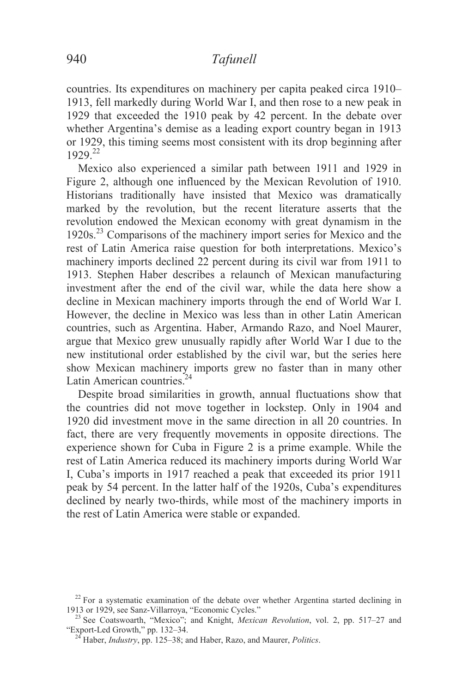countries. Its expenditures on machinery per capita peaked circa 1910– 1913, fell markedly during World War I, and then rose to a new peak in 1929 that exceeded the 1910 peak by 42 percent. In the debate over whether Argentina's demise as a leading export country began in 1913 or 1929, this timing seems most consistent with its drop beginning after 1929<sup>22</sup>

Mexico also experienced a similar path between 1911 and 1929 in Figure 2, although one influenced by the Mexican Revolution of 1910. Historians traditionally have insisted that Mexico was dramatically marked by the revolution, but the recent literature asserts that the revolution endowed the Mexican economy with great dynamism in the 1920s.<sup>23</sup> Comparisons of the machinery import series for Mexico and the rest of Latin America raise question for both interpretations. Mexico's machinery imports declined 22 percent during its civil war from 1911 to 1913. Stephen Haber describes a relaunch of Mexican manufacturing investment after the end of the civil war, while the data here show a decline in Mexican machinery imports through the end of World War I. However, the decline in Mexico was less than in other Latin American countries, such as Argentina. Haber, Armando Razo, and Noel Maurer, argue that Mexico grew unusually rapidly after World War I due to the new institutional order established by the civil war, but the series here show Mexican machinery imports grew no faster than in many other Latin American countries.<sup>24</sup>

 Despite broad similarities in growth, annual fluctuations show that the countries did not move together in lockstep. Only in 1904 and 1920 did investment move in the same direction in all 20 countries. In fact, there are very frequently movements in opposite directions. The experience shown for Cuba in Figure 2 is a prime example. While the rest of Latin America reduced its machinery imports during World War I, Cuba's imports in 1917 reached a peak that exceeded its prior 1911 peak by 54 percent. In the latter half of the 1920s, Cuba's expenditures declined by nearly two-thirds, while most of the machinery imports in the rest of Latin America were stable or expanded.

 $^{22}$  For a systematic examination of the debate over whether Argentina started declining in 1913 or 1929, see Sanz-Villarroya, "Economic Cycles."

<sup>&</sup>lt;sup>23</sup> See Coatswoarth, "Mexico"; and Knight, *Mexican Revolution*, vol. 2, pp. 517–27 and "Export-Led Growth," pp. 132–34.

<sup>&</sup>lt;sup>24</sup> Haber, *Industry*, pp. 125–38; and Haber, *Razo*, and Maurer, *Politics*.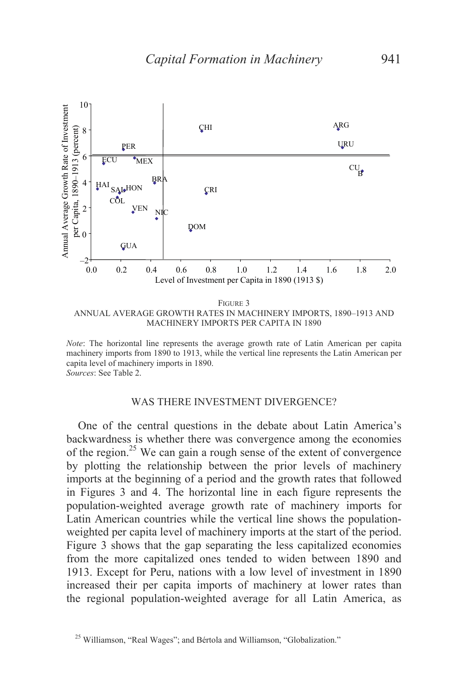

MACHINERY IMPORTS PER CAPITA IN 1890

*Note*: The horizontal line represents the average growth rate of Latin American per capita machinery imports from 1890 to 1913, while the vertical line represents the Latin American per capita level of machinery imports in 1890. *Sources*: See Table 2.

#### WAS THERE INVESTMENT DIVERGENCE?

 One of the central questions in the debate about Latin America's backwardness is whether there was convergence among the economies of the region.<sup>25</sup> We can gain a rough sense of the extent of convergence by plotting the relationship between the prior levels of machinery imports at the beginning of a period and the growth rates that followed in Figures 3 and 4. The horizontal line in each figure represents the population-weighted average growth rate of machinery imports for Latin American countries while the vertical line shows the populationweighted per capita level of machinery imports at the start of the period. Figure 3 shows that the gap separating the less capitalized economies from the more capitalized ones tended to widen between 1890 and 1913. Except for Peru, nations with a low level of investment in 1890 increased their per capita imports of machinery at lower rates than the regional population-weighted average for all Latin America, as

<sup>&</sup>lt;sup>25</sup> Williamson, "Real Wages"; and Bértola and Williamson, "Globalization."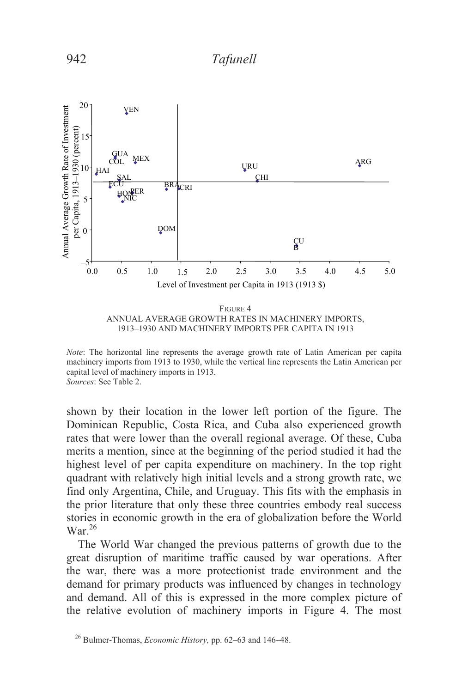

*Note*: The horizontal line represents the average growth rate of Latin American per capita machinery imports from 1913 to 1930, while the vertical line represents the Latin American per capital level of machinery imports in 1913. *Sources*: See Table 2.

shown by their location in the lower left portion of the figure. The Dominican Republic, Costa Rica, and Cuba also experienced growth rates that were lower than the overall regional average. Of these, Cuba merits a mention, since at the beginning of the period studied it had the highest level of per capita expenditure on machinery. In the top right quadrant with relatively high initial levels and a strong growth rate, we find only Argentina, Chile, and Uruguay. This fits with the emphasis in the prior literature that only these three countries embody real success stories in economic growth in the era of globalization before the World War $^{26}$ 

 The World War changed the previous patterns of growth due to the great disruption of maritime traffic caused by war operations. After the war, there was a more protectionist trade environment and the demand for primary products was influenced by changes in technology and demand. All of this is expressed in the more complex picture of the relative evolution of machinery imports in Figure 4. The most

<sup>26</sup> Bulmer-Thomas, *Economic History,* pp. 62–63 and 146–48.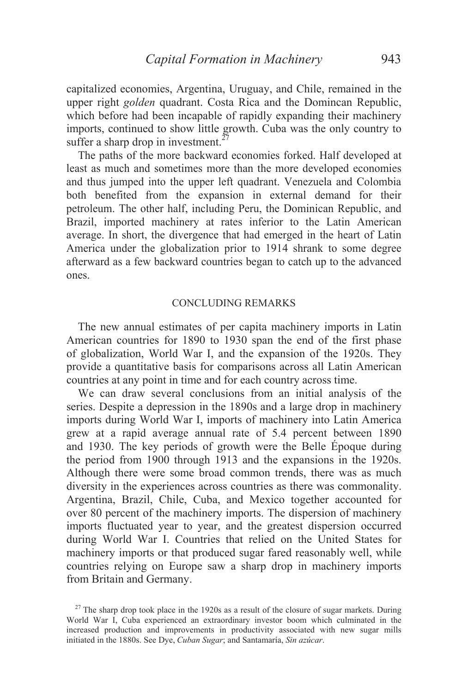capitalized economies, Argentina, Uruguay, and Chile, remained in the upper right *golden* quadrant. Costa Rica and the Domincan Republic, which before had been incapable of rapidly expanding their machinery imports, continued to show little growth. Cuba was the only country to suffer a sharp drop in investment.<sup>27</sup>

The paths of the more backward economies forked. Half developed at least as much and sometimes more than the more developed economies and thus jumped into the upper left quadrant. Venezuela and Colombia both benefited from the expansion in external demand for their petroleum. The other half, including Peru, the Dominican Republic, and Brazil, imported machinery at rates inferior to the Latin American average. In short, the divergence that had emerged in the heart of Latin America under the globalization prior to 1914 shrank to some degree afterward as a few backward countries began to catch up to the advanced ones.

### CONCLUDING REMARKS

 The new annual estimates of per capita machinery imports in Latin American countries for 1890 to 1930 span the end of the first phase of globalization, World War I, and the expansion of the 1920s. They provide a quantitative basis for comparisons across all Latin American countries at any point in time and for each country across time.

 We can draw several conclusions from an initial analysis of the series. Despite a depression in the 1890s and a large drop in machinery imports during World War I, imports of machinery into Latin America grew at a rapid average annual rate of 5.4 percent between 1890 and 1930. The key periods of growth were the Belle Époque during the period from 1900 through 1913 and the expansions in the 1920s. Although there were some broad common trends, there was as much diversity in the experiences across countries as there was commonality. Argentina, Brazil, Chile, Cuba, and Mexico together accounted for over 80 percent of the machinery imports. The dispersion of machinery imports fluctuated year to year, and the greatest dispersion occurred during World War I. Countries that relied on the United States for machinery imports or that produced sugar fared reasonably well, while countries relying on Europe saw a sharp drop in machinery imports from Britain and Germany.

<sup>&</sup>lt;sup>27</sup> The sharp drop took place in the 1920s as a result of the closure of sugar markets. During World War I, Cuba experienced an extraordinary investor boom which culminated in the increased production and improvements in productivity associated with new sugar mills initiated in the 1880s. See Dye, *Cuban Sugar*; and Santamaría, *Sin azúcar*.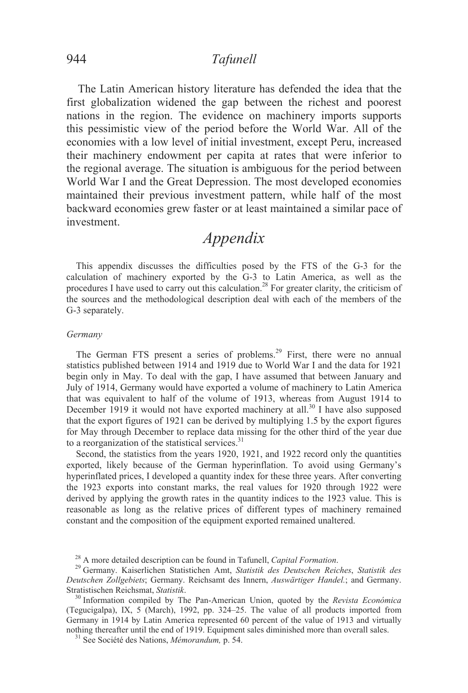The Latin American history literature has defended the idea that the first globalization widened the gap between the richest and poorest nations in the region. The evidence on machinery imports supports this pessimistic view of the period before the World War. All of the economies with a low level of initial investment, except Peru, increased their machinery endowment per capita at rates that were inferior to the regional average. The situation is ambiguous for the period between World War I and the Great Depression. The most developed economies maintained their previous investment pattern, while half of the most backward economies grew faster or at least maintained a similar pace of investment.

# *Appendix*

This appendix discusses the difficulties posed by the FTS of the G-3 for the calculation of machinery exported by the G-3 to Latin America, as well as the procedures I have used to carry out this calculation.<sup>28</sup> For greater clarity, the criticism of the sources and the methodological description deal with each of the members of the G-3 separately.

#### *Germany*

The German FTS present a series of problems.<sup>29</sup> First, there were no annual statistics published between 1914 and 1919 due to World War I and the data for 1921 begin only in May. To deal with the gap, I have assumed that between January and July of 1914, Germany would have exported a volume of machinery to Latin America that was equivalent to half of the volume of 1913, whereas from August 1914 to December 1919 it would not have exported machinery at all.<sup>30</sup> I have also supposed that the export figures of 1921 can be derived by multiplying 1.5 by the export figures for May through December to replace data missing for the other third of the year due to a reorganization of the statistical services. $31$ 

 Second, the statistics from the years 1920, 1921, and 1922 record only the quantities exported, likely because of the German hyperinflation. To avoid using Germany's hyperinflated prices, I developed a quantity index for these three years. After converting the 1923 exports into constant marks, the real values for 1920 through 1922 were derived by applying the growth rates in the quantity indices to the 1923 value. This is reasonable as long as the relative prices of different types of machinery remained constant and the composition of the equipment exported remained unaltered.

<sup>28</sup> A more detailed description can be found in Tafunell, *Capital Formation*. 29 Germany. Kaiserlichen Statistichen Amt, *Statistik des Deutschen Reiches*, *Statistik des Deutschen Zollgebiets*; Germany. Reichsamt des Innern, *Auswärtiger Handel.*; and Germany. Stratistischen Reichsmat, *Statistik*. 30 Information compiled by The Pan-American Union, quoted by the *Revista Económica*

<sup>(</sup>Tegucigalpa), IX, 5 (March), 1992, pp. 324–25. The value of all products imported from Germany in 1914 by Latin America represented 60 percent of the value of 1913 and virtually nothing thereafter until the end of 1919. Equipment sales diminished more than overall sales.<br><sup>31</sup> See Société des Nations, *Mémorandum*, p. 54.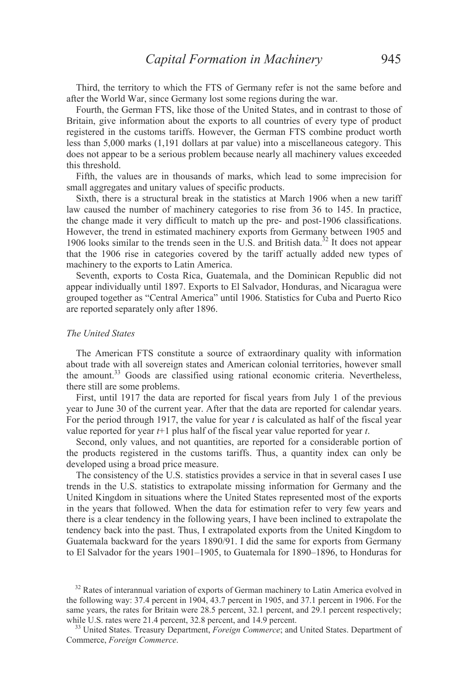Third, the territory to which the FTS of Germany refer is not the same before and after the World War, since Germany lost some regions during the war.

 Fourth, the German FTS, like those of the United States, and in contrast to those of Britain, give information about the exports to all countries of every type of product registered in the customs tariffs. However, the German FTS combine product worth less than 5,000 marks (1,191 dollars at par value) into a miscellaneous category. This does not appear to be a serious problem because nearly all machinery values exceeded this threshold.

 Fifth, the values are in thousands of marks, which lead to some imprecision for small aggregates and unitary values of specific products.

 Sixth, there is a structural break in the statistics at March 1906 when a new tariff law caused the number of machinery categories to rise from 36 to 145. In practice, the change made it very difficult to match up the pre- and post-1906 classifications. However, the trend in estimated machinery exports from Germany between 1905 and 1906 looks similar to the trends seen in the U.S. and British data.<sup>32</sup> It does not appear that the 1906 rise in categories covered by the tariff actually added new types of machinery to the exports to Latin America.

 Seventh, exports to Costa Rica, Guatemala, and the Dominican Republic did not appear individually until 1897. Exports to El Salvador, Honduras, and Nicaragua were grouped together as "Central America" until 1906. Statistics for Cuba and Puerto Rico are reported separately only after 1896.

#### *The United States*

 The American FTS constitute a source of extraordinary quality with information about trade with all sovereign states and American colonial territories, however small the amount.<sup>33</sup> Goods are classified using rational economic criteria. Nevertheless, there still are some problems.

 First, until 1917 the data are reported for fiscal years from July 1 of the previous year to June 30 of the current year. After that the data are reported for calendar years. For the period through 1917, the value for year *t* is calculated as half of the fiscal year value reported for year *t*+1 plus half of the fiscal year value reported for year *t*.

 Second, only values, and not quantities, are reported for a considerable portion of the products registered in the customs tariffs. Thus, a quantity index can only be developed using a broad price measure.

 The consistency of the U.S. statistics provides a service in that in several cases I use trends in the U.S. statistics to extrapolate missing information for Germany and the United Kingdom in situations where the United States represented most of the exports in the years that followed. When the data for estimation refer to very few years and there is a clear tendency in the following years, I have been inclined to extrapolate the tendency back into the past. Thus, I extrapolated exports from the United Kingdom to Guatemala backward for the years 1890/91. I did the same for exports from Germany to El Salvador for the years 1901–1905, to Guatemala for 1890–1896, to Honduras for

 $32$  Rates of interannual variation of exports of German machinery to Latin America evolved in the following way: 37.4 percent in 1904, 43.7 percent in 1905, and 37.1 percent in 1906. For the same years, the rates for Britain were 28.5 percent, 32.1 percent, and 29.1 percent respectively; while U.S. rates were 21.4 percent, 32.8 percent, and 14.9 percent.<br><sup>33</sup> United States. Treasury Department, *Foreign Commerce*; and United States. Department of

Commerce, *Foreign Commerce*.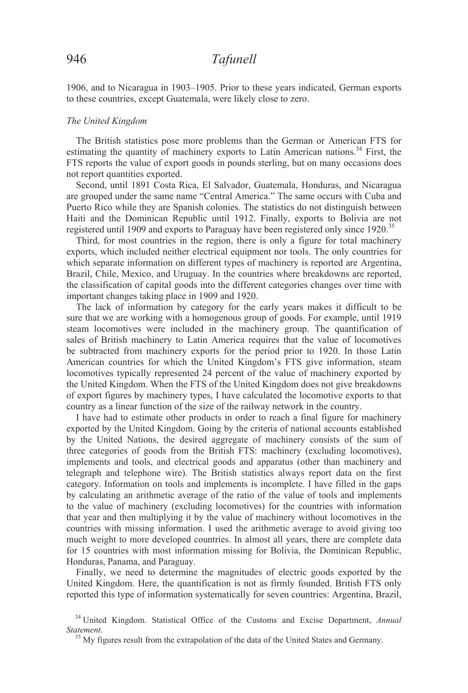1906, and to Nicaragua in 1903–1905. Prior to these years indicated, German exports to these countries, except Guatemala, were likely close to zero.

#### *The United Kingdom*

 The British statistics pose more problems than the German or American FTS for estimating the quantity of machinery exports to Latin American nations.<sup>34</sup> First, the FTS reports the value of export goods in pounds sterling, but on many occasions does not report quantities exported.

 Second, until 1891 Costa Rica, El Salvador, Guatemala, Honduras, and Nicaragua are grouped under the same name "Central America." The same occurs with Cuba and Puerto Rico while they are Spanish colonies. The statistics do not distinguish between Haiti and the Dominican Republic until 1912. Finally, exports to Bolivia are not registered until 1909 and exports to Paraguay have been registered only since 1920.<sup>35</sup>

 Third, for most countries in the region, there is only a figure for total machinery exports, which included neither electrical equipment nor tools. The only countries for which separate information on different types of machinery is reported are Argentina, Brazil, Chile, Mexico, and Uruguay. In the countries where breakdowns are reported, the classification of capital goods into the different categories changes over time with important changes taking place in 1909 and 1920.

 The lack of information by category for the early years makes it difficult to be sure that we are working with a homogenous group of goods. For example, until 1919 steam locomotives were included in the machinery group. The quantification of sales of British machinery to Latin America requires that the value of locomotives be subtracted from machinery exports for the period prior to 1920. In those Latin American countries for which the United Kingdom's FTS give information, steam locomotives typically represented 24 percent of the value of machinery exported by the United Kingdom. When the FTS of the United Kingdom does not give breakdowns of export figures by machinery types, I have calculated the locomotive exports to that country as a linear function of the size of the railway network in the country.

 I have had to estimate other products in order to reach a final figure for machinery exported by the United Kingdom. Going by the criteria of national accounts established by the United Nations, the desired aggregate of machinery consists of the sum of three categories of goods from the British FTS: machinery (excluding locomotives), implements and tools, and electrical goods and apparatus (other than machinery and telegraph and telephone wire). The British statistics always report data on the first category. Information on tools and implements is incomplete. I have filled in the gaps by calculating an arithmetic average of the ratio of the value of tools and implements to the value of machinery (excluding locomotives) for the countries with information that year and then multiplying it by the value of machinery without locomotives in the countries with missing information. I used the arithmetic average to avoid giving too much weight to more developed countries. In almost all years, there are complete data for 15 countries with most information missing for Bolivia, the Dominican Republic, Honduras, Panama, and Paraguay.

 Finally, we need to determine the magnitudes of electric goods exported by the United Kingdom. Here, the quantification is not as firmly founded. British FTS only reported this type of information systematically for seven countries: Argentina, Brazil,

<sup>34</sup> United Kingdom. Statistical Office of the Customs and Excise Department, *Annual Statement*. 35 My figures result from the extrapolation of the data of the United States and Germany.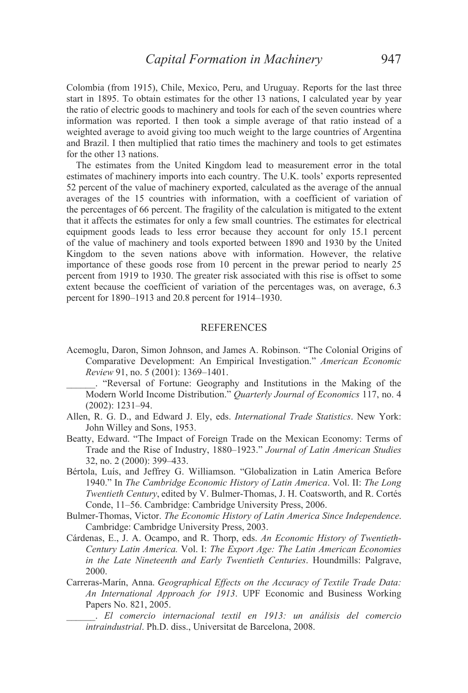Colombia (from 1915), Chile, Mexico, Peru, and Uruguay. Reports for the last three start in 1895. To obtain estimates for the other 13 nations, I calculated year by year the ratio of electric goods to machinery and tools for each of the seven countries where information was reported. I then took a simple average of that ratio instead of a weighted average to avoid giving too much weight to the large countries of Argentina and Brazil. I then multiplied that ratio times the machinery and tools to get estimates for the other 13 nations.

 The estimates from the United Kingdom lead to measurement error in the total estimates of machinery imports into each country. The U.K. tools' exports represented 52 percent of the value of machinery exported, calculated as the average of the annual averages of the 15 countries with information, with a coefficient of variation of the percentages of 66 percent. The fragility of the calculation is mitigated to the extent that it affects the estimates for only a few small countries. The estimates for electrical equipment goods leads to less error because they account for only 15.1 percent of the value of machinery and tools exported between 1890 and 1930 by the United Kingdom to the seven nations above with information. However, the relative importance of these goods rose from 10 percent in the prewar period to nearly 25 percent from 1919 to 1930. The greater risk associated with this rise is offset to some extent because the coefficient of variation of the percentages was, on average, 6.3 percent for 1890–1913 and 20.8 percent for 1914–1930.

#### **REFERENCES**

- Acemoglu, Daron, Simon Johnson, and James A. Robinson. "The Colonial Origins of Comparative Development: An Empirical Investigation." *American Economic Review* 91, no. 5 (2001): 1369–1401.
	- \_\_\_\_\_\_. "Reversal of Fortune: Geography and Institutions in the Making of the Modern World Income Distribution." *Quarterly Journal of Economics* 117, no. 4 (2002): 1231–94.
- Allen, R. G. D., and Edward J. Ely, eds. *International Trade Statistics*. New York: John Willey and Sons, 1953.
- Beatty, Edward. "The Impact of Foreign Trade on the Mexican Economy: Terms of Trade and the Rise of Industry, 1880–1923." *Journal of Latin American Studies* 32, no. 2 (2000): 399–433.
- Bértola, Luís, and Jeffrey G. Williamson. "Globalization in Latin America Before 1940." In *The Cambridge Economic History of Latin America*. Vol. II: *The Long Twentieth Century*, edited by V. Bulmer-Thomas, J. H. Coatsworth, and R. Cortés Conde, 11–56. Cambridge: Cambridge University Press, 2006.
- Bulmer-Thomas, Victor. *The Economic History of Latin America Since Independence*. Cambridge: Cambridge University Press, 2003.
- Cárdenas, E., J. A. Ocampo, and R. Thorp, eds. *An Economic History of Twentieth-Century Latin America.* Vol. I: *The Export Age: The Latin American Economies in the Late Nineteenth and Early Twentieth Centuries*. Houndmills: Palgrave, 2000.
- Carreras-Marín, Anna. *Geographical Effects on the Accuracy of Textile Trade Data: An International Approach for 1913*. UPF Economic and Business Working Papers No. 821, 2005.
	- \_\_\_\_\_\_. *El comercio internacional textil en 1913: un análisis del comercio intraindustrial*. Ph.D. diss., Universitat de Barcelona, 2008.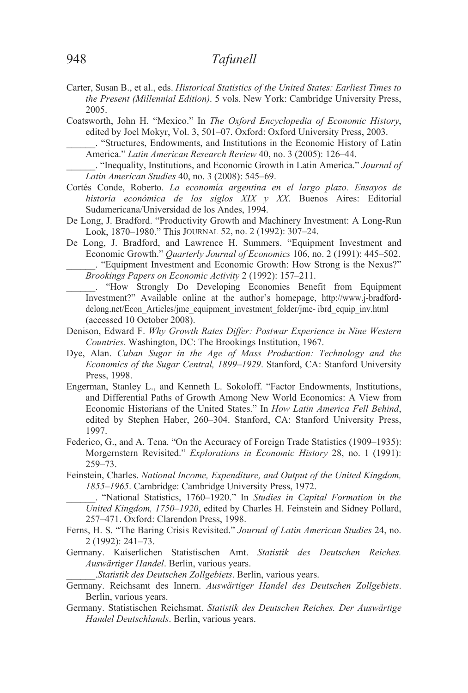- Carter, Susan B., et al., eds. *Historical Statistics of the United States: Earliest Times to the Present (Millennial Edition)*. 5 vols. New York: Cambridge University Press, 2005.
- Coatsworth, John H. "Mexico." In *The Oxford Encyclopedia of Economic History*, edited by Joel Mokyr, Vol. 3, 501–07. Oxford: Oxford University Press, 2003.
- \_\_\_\_\_\_. "Structures, Endowments, and Institutions in the Economic History of Latin America." *Latin American Research Review* 40, no. 3 (2005): 126–44.
- \_\_\_\_\_\_. "Inequality, Institutions, and Economic Growth in Latin America." *Journal of Latin American Studies* 40, no. 3 (2008): 545–69.
- Cortés Conde, Roberto. *La economía argentina en el largo plazo. Ensayos de historia económica de los siglos XIX y XX*. Buenos Aires: Editorial Sudamericana/Universidad de los Andes, 1994.
- De Long, J. Bradford. "Productivity Growth and Machinery Investment: A Long-Run Look, 1870–1980." This JOURNAL 52, no. 2 (1992): 307–24.
- De Long, J. Bradford, and Lawrence H. Summers. "Equipment Investment and Economic Growth." *Quarterly Journal of Economics* 106, no. 2 (1991): 445–502. \_\_\_\_\_\_. "Equipment Investment and Economic Growth: How Strong is the Nexus?" *Brookings Papers on Economic Activity* 2 (1992): 157–211.
- \_\_\_\_\_\_. "How Strongly Do Developing Economies Benefit from Equipment Investment?" Available online at the author's homepage, http://www.j-bradforddelong.net/Econ\_Articles/jme\_equipment\_investment\_folder/jme- ibrd\_equip\_inv.html (accessed 10 October 2008).
- Denison, Edward F. *Why Growth Rates Differ: Postwar Experience in Nine Western Countries*. Washington, DC: The Brookings Institution, 1967.
- Dye, Alan. *Cuban Sugar in the Age of Mass Production: Technology and the Economics of the Sugar Central, 1899–1929*. Stanford, CA: Stanford University Press, 1998.
- Engerman, Stanley L., and Kenneth L. Sokoloff. "Factor Endowments, Institutions, and Differential Paths of Growth Among New World Economics: A View from Economic Historians of the United States." In *How Latin America Fell Behind*, edited by Stephen Haber, 260–304. Stanford, CA: Stanford University Press, 1997.
- Federico, G., and A. Tena. "On the Accuracy of Foreign Trade Statistics (1909–1935): Morgernstern Revisited." *Explorations in Economic History* 28, no. 1 (1991): 259–73.
- Feinstein, Charles. *National Income, Expenditure, and Output of the United Kingdom, 1855–1965*. Cambridge: Cambridge University Press, 1972.
	- \_\_\_\_\_\_. "National Statistics, 1760–1920." In *Studies in Capital Formation in the United Kingdom, 1750–1920*, edited by Charles H. Feinstein and Sidney Pollard, 257–471. Oxford: Clarendon Press, 1998.
- Ferns, H. S. "The Baring Crisis Revisited." *Journal of Latin American Studies* 24, no. 2 (1992): 241–73.
- Germany. Kaiserlichen Statistischen Amt. *Statistik des Deutschen Reiches. Auswärtiger Handel*. Berlin, various years.

\_\_\_\_\_\_.*Statistik des Deutschen Zollgebiets*. Berlin, various years.

- Germany. Reichsamt des Innern. *Auswärtiger Handel des Deutschen Zollgebiets*. Berlin, various years.
- Germany. Statistischen Reichsmat. *Statistik des Deutschen Reiches. Der Auswärtige Handel Deutschlands*. Berlin, various years.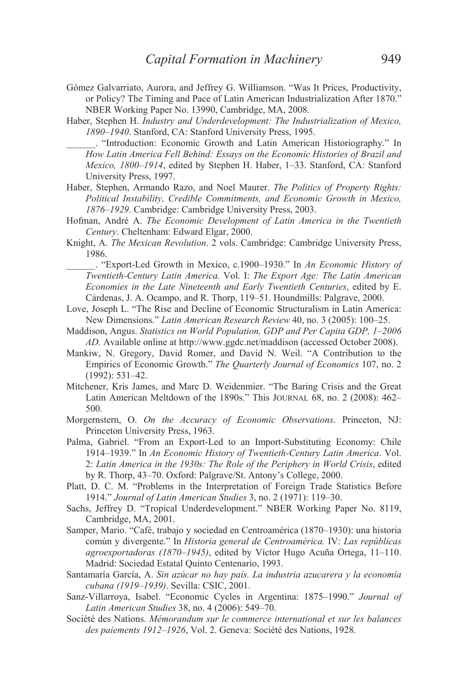- Gómez Galvarriato, Aurora, and Jeffrey G. Williamson. "Was It Prices, Productivity, or Policy? The Timing and Pace of Latin American Industrialization After 1870." NBER Working Paper No. 13990, Cambridge, MA, 2008.
- Haber, Stephen H. *Industry and Underdevelopment: The Industrialization of Mexico, 1890–1940*. Stanford, CA: Stanford University Press, 1995.
	- \_\_\_\_\_\_. "Introduction: Economic Growth and Latin American Historiography." In *How Latin America Fell Behind: Essays on the Economic Histories of Brazil and Mexico, 1800–1914*, edited by Stephen H. Haber, 1–33. Stanford, CA: Stanford University Press, 1997.
- Haber, Stephen, Armando Razo, and Noel Maurer. *The Politics of Property Rights: Political Instability, Credible Commitments, and Economic Growth in Mexico, 1876–1929*. Cambridge: Cambridge University Press, 2003.
- Hofman, André A. *The Economic Development of Latin America in the Twentieth Century*. Cheltenham: Edward Elgar, 2000.
- Knight, A. *The Mexican Revolution*. 2 vols. Cambridge: Cambridge University Press, 1986.

\_\_\_\_\_\_. "Export-Led Growth in Mexico, c.1900–1930." In *An Economic History of Twentieth-Century Latin America.* Vol. I: *The Export Age: The Latin American Economies in the Late Nineteenth and Early Twentieth Centuries*, edited by E. Cárdenas, J. A. Ocampo, and R. Thorp, 119–51. Houndmills: Palgrave, 2000.

- Love, Joseph L. "The Rise and Decline of Economic Structuralism in Latin America: New Dimensions." *Latin American Research Review* 40, no. 3 (2005): 100–25.
- Maddison, Angus. *Statistics on World Population, GDP and Per Capita GDP, 1–2006 AD.* Available online at http://www.ggdc.net/maddison (accessed October 2008).
- Mankiw, N. Gregory, David Romer, and David N. Weil. "A Contribution to the Empirics of Economic Growth." *The Quarterly Journal of Economics* 107, no. 2 (1992): 531–42.
- Mitchener, Kris James, and Marc D. Weidenmier. "The Baring Crisis and the Great Latin American Meltdown of the 1890s." This JOURNAL 68, no. 2 (2008): 462– 500.

Morgernstern, O. *On the Accuracy of Economic Observations*. Princeton, NJ: Princeton University Press, 1963.

- Palma, Gabriel. "From an Export-Led to an Import-Substituting Economy: Chile 1914–1939." In *An Economic History of Twentieth-Century Latin America*. Vol. 2: *Latin America in the 1930s: The Role of the Periphery in World Crisis*, edited by R. Thorp, 43–70. Oxford: Palgrave/St. Antony's College, 2000.
- Platt, D. C. M. "Problems in the Interpretation of Foreign Trade Statistics Before 1914." *Journal of Latin American Studies* 3, no. 2 (1971): 119–30.
- Sachs, Jeffrey D. "Tropical Underdevelopment." NBER Working Paper No. 8119, Cambridge, MA, 2001.
- Samper, Mario. "Café, trabajo y sociedad en Centroamérica (1870–1930): una historia común y divergente." In *Historia general de Centroamérica.* IV: *Las repúblicas agroexportadoras (1870–1945)*, edited by Víctor Hugo Acuña Ortega, 11–110. Madrid: Sociedad Estatal Quinto Centenario, 1993.
- Santamaría García, A. *Sin azúcar no hay país. La industria azucarera y la economía cubana (1919–1939)*. Sevilla: CSIC, 2001.
- Sanz-Villarroya, Isabel. "Economic Cycles in Argentina: 1875–1990." *Journal of Latin American Studies* 38, no. 4 (2006): 549–70.
- Société des Nations. *Mémorandum sur le commerce international et sur les balances des paiements 1912–1926*, Vol. 2. Geneva: Société des Nations, 1928.